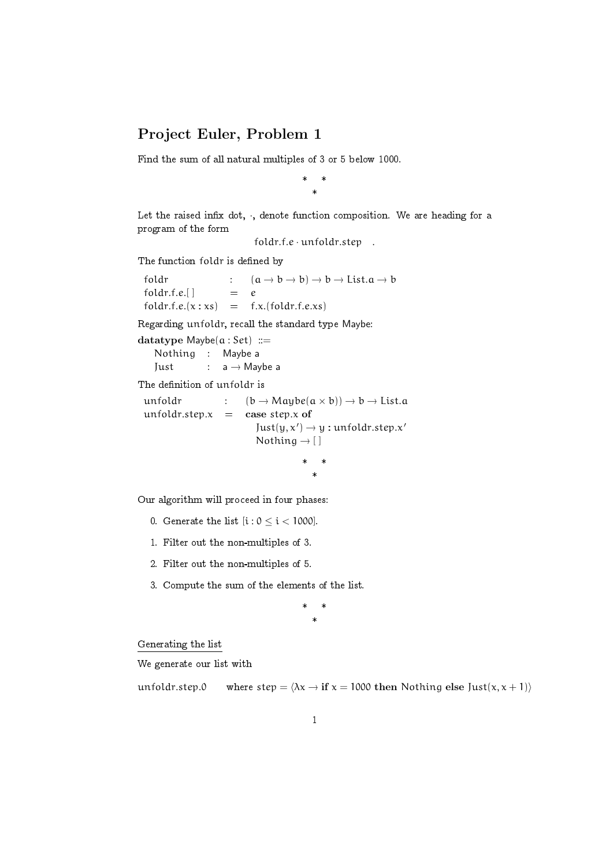## Project Euler, Problem 1

Find the sum of all natural multiples of 3 or 5 below 1000.

\* \* \*

Let the raised infix dot,  $\cdot$ , denote function composition. We are heading for a program of the form

foldr.f.e · unfoldr.step .

The function foldr is defined by

foldr :  $(a \rightarrow b \rightarrow b) \rightarrow b \rightarrow List.a \rightarrow b$ <br>foldr.f.e.[] = e  $foldr.f.e.$ []  $foldr.f.e.(x : xs) = f.x.(foldr.f.e.xs)$ 

Regarding unfoldr, recall the standard type Maybe:

```
datatype Maybe(a : Set) ::=
   Nothing : Maybe a
   Just : a \rightarrow Maybe a
```
The definition of unfoldr is

```
unfoldr : (b \rightarrow Maybe(a \times b)) \rightarrow b \rightarrow List.aunfoldr.step.x = case step.x of
                             Just(y, x') \rightarrow y : unfoldr.step.x'Nothing \rightarrow []
                                         * *
```
Our algorithm will proceed in four phases:

- 0. Generate the list  $[i : 0 \le i < 1000]$ .
- 1. Filter out the non-multiples of 3.
- 2. Filter out the non-multiples of 5.
- 3. Compute the sum of the elements of the list.

\* \* \*

\*

Generating the list

We generate our list with

unfoldr.step.0 where step =  $\langle \lambda x \rightarrow f \mathbf{f} \rangle x = 1000$  then Nothing else Just $(x, x + 1)$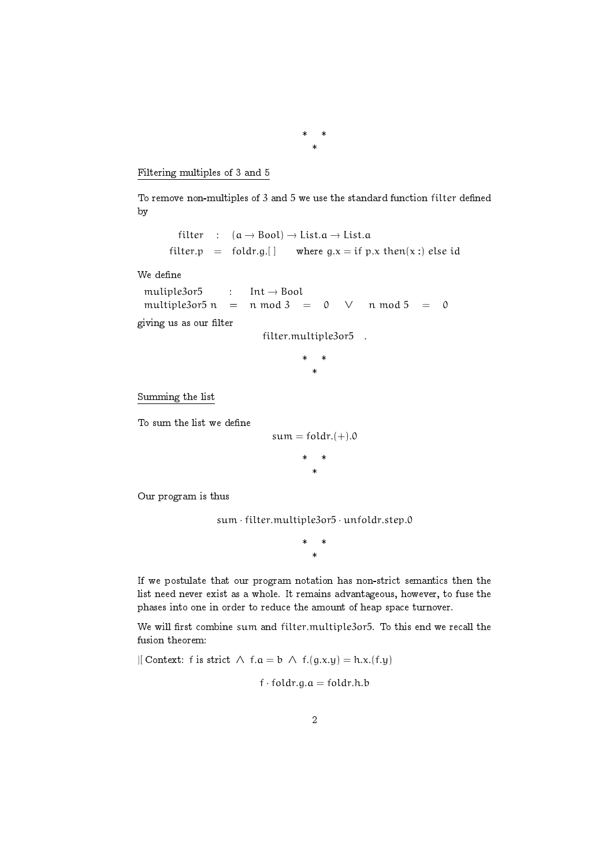Filtering multiples of 3 and 5

To remove non-multiples of 3 and 5 we use the standard function filter defined by

\* \* \*

filter :  $(a \rightarrow Bool) \rightarrow List.a \rightarrow List.a$ <br>filter.p = foldr.g.[] where  $q.x = if p$ where g.x = if p.x then(x :) else id

We define

muliple3or5 : Int <sup>→</sup> Bool multiple3or5 n = n mod 3 = 0 ∨ n mod 5 = 0

giving us as our filter

filter.multiple3or5 .

\* \* \*

Summing the list

To sum the list we define

 $sum = foldr.(+)$ .0 \* \* \*

Our program is thus

sum · filter.multiple3or5 · unfoldr.step.0

\* \* \*

If we postulate that our program notation has non-strict semantics then the list need never exist as a whole. It remains advantageous, however, to fuse the phases into one in order to reduce the amount of heap space turnover.

We will first combine sum and filter.multiple3or5. To this end we recall the fusion theorem:

|[ Context: f is strict  $\land$  f.a = b  $\land$  f.(g.x.y) = h.x.(f.y)

 $f \cdot f \cdot old_r$ .g.a = foldr.h.b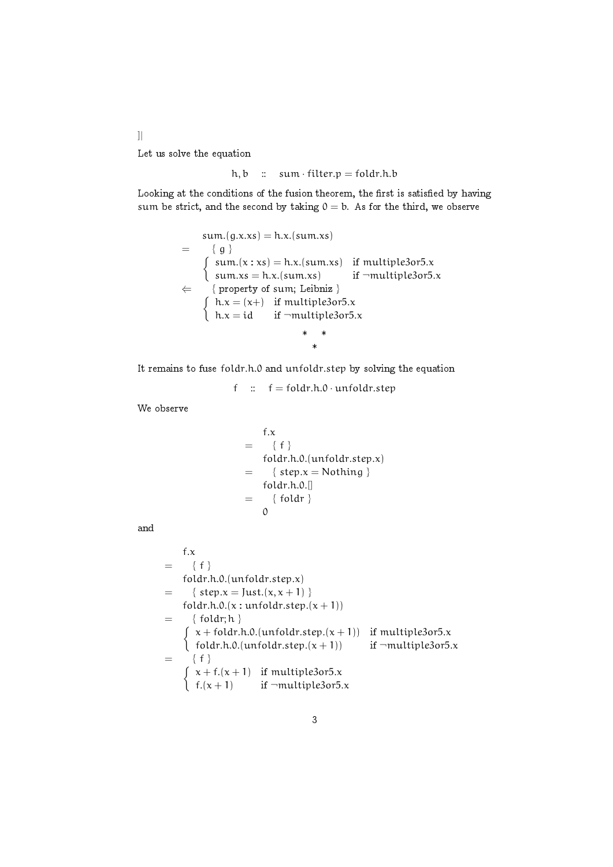Let us solve the equation

]|

$$
h, b :: sum \cdot filter.p = fold r.h.b
$$

Looking at the conditions of the fusion theorem, the first is satisfied by having sum be strict, and the second by taking  $0 = b$ . As for the third, we observe

$$
\begin{aligned}\n\text{sum.}(g.x.x s) &= h.x.(\text{sum.} x s) \\
&= \{ g \} \\
\text{sum.}(x : xs) &= h.x.(\text{sum.} xs) \quad \text{if multiple3or5.x} \\
\text{sum.} x s &= h.x.(\text{sum.} xs) \quad \text{if \quad \neg multiple3or5.x} \\
&\left\{ \text{property of sum; Leibniz} \right\} \\
\text{h.x} &= (x+) \quad \text{if multiple3or5.x} \\
h.x &= id \quad \text{if \quad \neg multiple3or5.x} \\
&\quad \ast \quad \ast \quad \ast\n\end{aligned}
$$

It remains to fuse foldr.h.0 and unfoldr.step by solving the equation

f ::  $f = \text{foldr.h.0} \cdot \text{unfoldr}$ .step

We observe

$$
= \begin{cases} f.x \\ f \} \\ foldr.h.0.(unfoldr.step.x) \\ = \{ step.x = Nothing \} \\ foldr.h.0.[] \\ = \{ foldr \} \\ 0 \end{cases}
$$

and

```
f.x= \{ f \}foldr.h.0.(unfoldr.step.x)
= \{ \text{step.x} = \text{Just.}(x, x + 1) \}foldr.h.0.(x:unfoldr.step.(x + 1))= { foldr; h }
    \int x + \text{fold } r.h.0.(\text{unfold } r.\text{step}.(x + 1)) if multiple3or5.x
       foldr.h.0.(unfoldr.step.(x + 1)) if \negmultiple3or5.x
= { f }
    \int x + f(x+1) if multiple3or5.x
       f.(x + 1) if \neg \mathsf{multiple3or5.x}
```